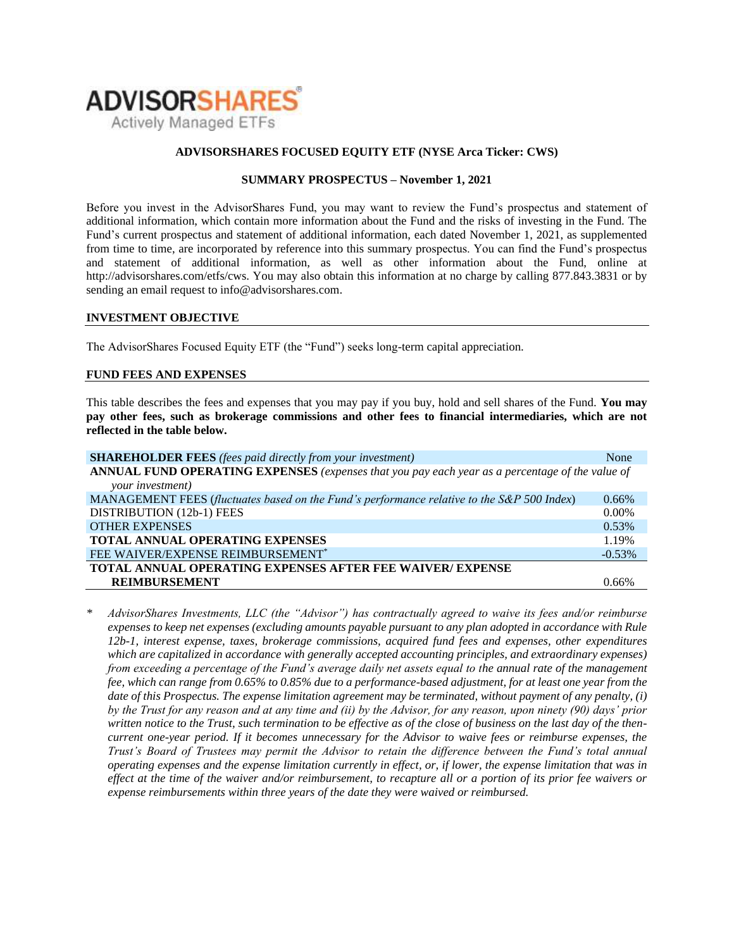

### **ADVISORSHARES FOCUSED EQUITY ETF (NYSE Arca Ticker: CWS)**

### **SUMMARY PROSPECTUS – November 1, 2021**

Before you invest in the AdvisorShares Fund, you may want to review the Fund's prospectus and statement of additional information, which contain more information about the Fund and the risks of investing in the Fund. The Fund's [current prospectus and statement of additional information,](https://www.sec.gov/ix?doc=/Archives/edgar/data/1408970/000182912621013072/ck0001408970-20210630.htm) each dated November 1, 2021, as supplemented from time to time, are incorporated by reference into this summary prospectus. You can find the Fund's prospectus and statement of additional information, as well as other information about the Fund, online at http://advisorshares.com/etfs/cws. You may also obtain this information at no charge by calling 877.843.3831 or by sending an email request to info@advisorshares.com.

#### **INVESTMENT OBJECTIVE**

The AdvisorShares Focused Equity ETF (the "Fund") seeks long-term capital appreciation.

### **FUND FEES AND EXPENSES**

This table describes the fees and expenses that you may pay if you buy, hold and sell shares of the Fund. **You may pay other fees, such as brokerage commissions and other fees to financial intermediaries, which are not reflected in the table below.**

| <b>SHAREHOLDER FEES</b> (fees paid directly from your investment)                               | None      |
|-------------------------------------------------------------------------------------------------|-----------|
| ANNUAL FUND OPERATING EXPENSES (expenses that you pay each year as a percentage of the value of |           |
| your investment)                                                                                |           |
| MANAGEMENT FEES (fluctuates based on the Fund's performance relative to the S&P 500 Index)      | $0.66\%$  |
| DISTRIBUTION (12b-1) FEES                                                                       | $0.00\%$  |
| <b>OTHER EXPENSES</b>                                                                           | 0.53%     |
| <b>TOTAL ANNUAL OPERATING EXPENSES</b>                                                          | 1.19%     |
| FEE WAIVER/EXPENSE REIMBURSEMENT*                                                               | $-0.53\%$ |
| <b>TOTAL ANNUAL OPERATING EXPENSES AFTER FEE WAIVER/ EXPENSE</b>                                |           |
| <b>REIMBURSEMENT</b>                                                                            | በ 66%     |

*\* AdvisorShares Investments, LLC (the "Advisor") has contractually agreed to waive its fees and/or reimburse expenses to keep net expenses (excluding amounts payable pursuant to any plan adopted in accordance with Rule 12b-1, interest expense, taxes, brokerage commissions, acquired fund fees and expenses, other expenditures which are capitalized in accordance with generally accepted accounting principles, and extraordinary expenses) from exceeding a percentage of the Fund's average daily net assets equal to the annual rate of the management fee, which can range from 0.65% to 0.85% due to a performance-based adjustment, for at least one year from the date of this Prospectus. The expense limitation agreement may be terminated, without payment of any penalty, (i) by the Trust for any reason and at any time and (ii) by the Advisor, for any reason, upon ninety (90) days' prior written notice to the Trust, such termination to be effective as of the close of business on the last day of the thencurrent one-year period. If it becomes unnecessary for the Advisor to waive fees or reimburse expenses, the Trust's Board of Trustees may permit the Advisor to retain the difference between the Fund's total annual operating expenses and the expense limitation currently in effect, or, if lower, the expense limitation that was in effect at the time of the waiver and/or reimbursement, to recapture all or a portion of its prior fee waivers or expense reimbursements within three years of the date they were waived or reimbursed.*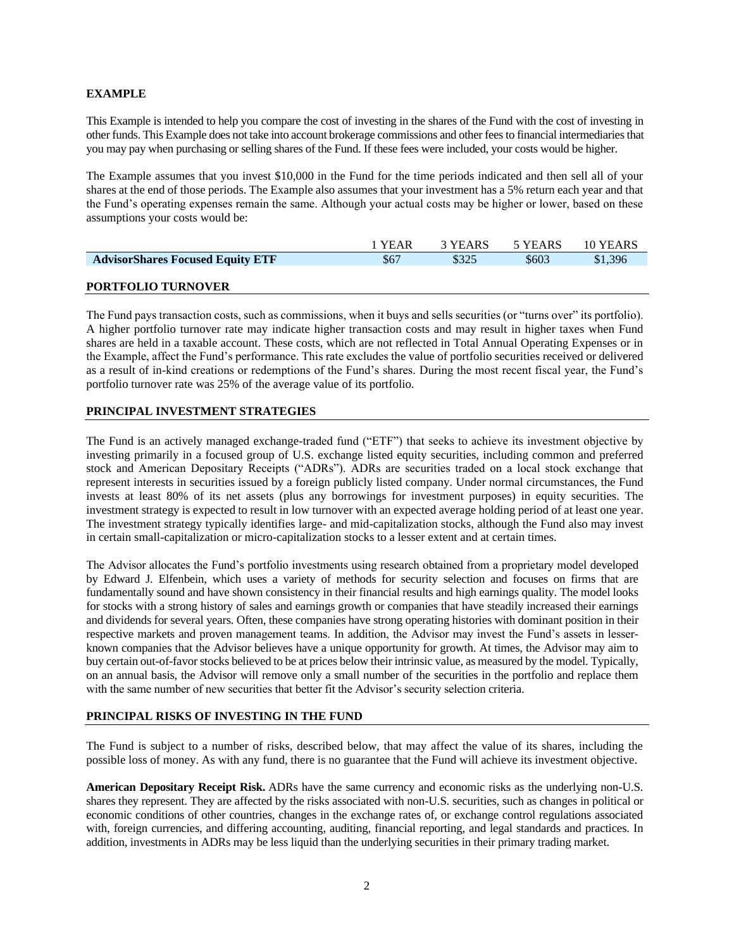# **EXAMPLE**

This Example is intended to help you compare the cost of investing in the shares of the Fund with the cost of investing in other funds. This Example does not take into account brokerage commissions and other fees to financial intermediaries that you may pay when purchasing or selling shares of the Fund. If these fees were included, your costs would be higher.

The Example assumes that you invest \$10,000 in the Fund for the time periods indicated and then sell all of your shares at the end of those periods. The Example also assumes that your investment has a 5% return each year and that the Fund's operating expenses remain the same. Although your actual costs may be higher or lower, based on these assumptions your costs would be:

|                                         | 1 YEAR | 3 YEARS | 5 YEARS | 10 YEARS |
|-----------------------------------------|--------|---------|---------|----------|
| <b>AdvisorShares Focused Equity ETF</b> | \$67   | \$325   | \$603   | \$1,396  |
|                                         |        |         |         |          |
| <b>PORTFOLIO TURNOVER</b>               |        |         |         |          |

The Fund pays transaction costs, such as commissions, when it buys and sells securities (or "turns over" its portfolio). A higher portfolio turnover rate may indicate higher transaction costs and may result in higher taxes when Fund shares are held in a taxable account. These costs, which are not reflected in Total Annual Operating Expenses or in the Example, affect the Fund's performance. This rate excludes the value of portfolio securities received or delivered as a result of in-kind creations or redemptions of the Fund's shares. During the most recent fiscal year, the Fund's portfolio turnover rate was 25% of the average value of its portfolio.

### **PRINCIPAL INVESTMENT STRATEGIES**

The Fund is an actively managed exchange-traded fund ("ETF") that seeks to achieve its investment objective by investing primarily in a focused group of U.S. exchange listed equity securities, including common and preferred stock and American Depositary Receipts ("ADRs"). ADRs are securities traded on a local stock exchange that represent interests in securities issued by a foreign publicly listed company. Under normal circumstances, the Fund invests at least 80% of its net assets (plus any borrowings for investment purposes) in equity securities. The investment strategy is expected to result in low turnover with an expected average holding period of at least one year. The investment strategy typically identifies large- and mid-capitalization stocks, although the Fund also may invest in certain small-capitalization or micro-capitalization stocks to a lesser extent and at certain times.

The Advisor allocates the Fund's portfolio investments using research obtained from a proprietary model developed by Edward J. Elfenbein, which uses a variety of methods for security selection and focuses on firms that are fundamentally sound and have shown consistency in their financial results and high earnings quality. The model looks for stocks with a strong history of sales and earnings growth or companies that have steadily increased their earnings and dividends for several years. Often, these companies have strong operating histories with dominant position in their respective markets and proven management teams. In addition, the Advisor may invest the Fund's assets in lesserknown companies that the Advisor believes have a unique opportunity for growth. At times, the Advisor may aim to buy certain out-of-favor stocks believed to be at prices below their intrinsic value, as measured by the model. Typically, on an annual basis, the Advisor will remove only a small number of the securities in the portfolio and replace them with the same number of new securities that better fit the Advisor's security selection criteria.

### **PRINCIPAL RISKS OF INVESTING IN THE FUND**

The Fund is subject to a number of risks, described below, that may affect the value of its shares, including the possible loss of money. As with any fund, there is no guarantee that the Fund will achieve its investment objective.

**American Depositary Receipt Risk.** ADRs have the same currency and economic risks as the underlying non-U.S. shares they represent. They are affected by the risks associated with non-U.S. securities, such as changes in political or economic conditions of other countries, changes in the exchange rates of, or exchange control regulations associated with, foreign currencies, and differing accounting, auditing, financial reporting, and legal standards and practices. In addition, investments in ADRs may be less liquid than the underlying securities in their primary trading market.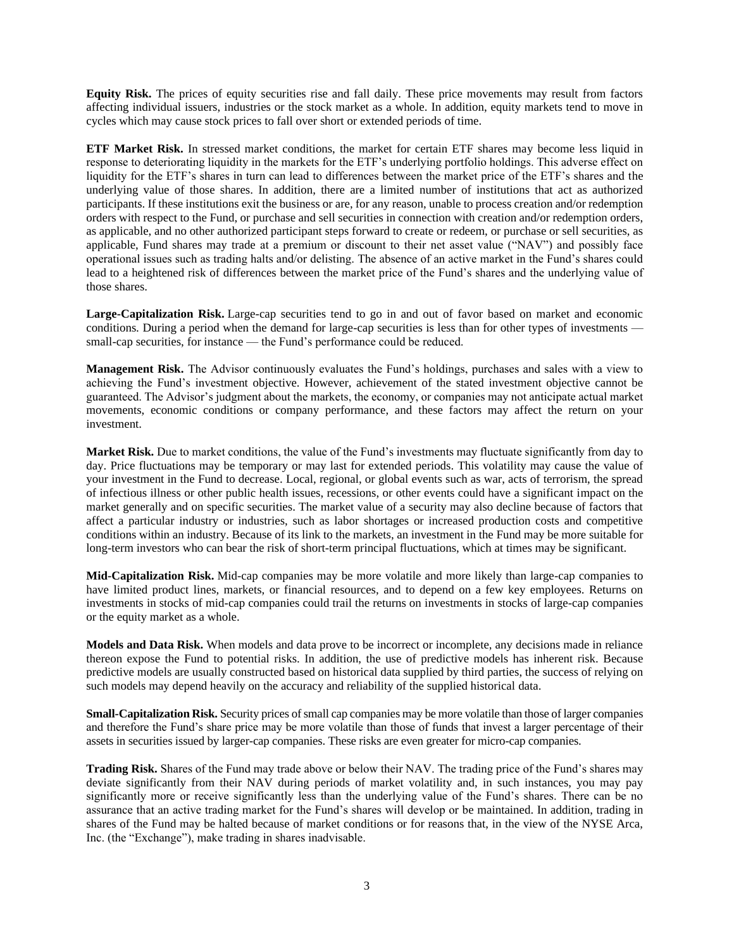**Equity Risk.** The prices of equity securities rise and fall daily. These price movements may result from factors affecting individual issuers, industries or the stock market as a whole. In addition, equity markets tend to move in cycles which may cause stock prices to fall over short or extended periods of time.

**ETF Market Risk.** In stressed market conditions, the market for certain ETF shares may become less liquid in response to deteriorating liquidity in the markets for the ETF's underlying portfolio holdings. This adverse effect on liquidity for the ETF's shares in turn can lead to differences between the market price of the ETF's shares and the underlying value of those shares. In addition, there are a limited number of institutions that act as authorized participants. If these institutions exit the business or are, for any reason, unable to process creation and/or redemption orders with respect to the Fund, or purchase and sell securities in connection with creation and/or redemption orders, as applicable, and no other authorized participant steps forward to create or redeem, or purchase or sell securities, as applicable, Fund shares may trade at a premium or discount to their net asset value ("NAV") and possibly face operational issues such as trading halts and/or delisting. The absence of an active market in the Fund's shares could lead to a heightened risk of differences between the market price of the Fund's shares and the underlying value of those shares.

**Large-Capitalization Risk.** Large-cap securities tend to go in and out of favor based on market and economic conditions. During a period when the demand for large-cap securities is less than for other types of investments small-cap securities, for instance — the Fund's performance could be reduced.

**Management Risk.** The Advisor continuously evaluates the Fund's holdings, purchases and sales with a view to achieving the Fund's investment objective. However, achievement of the stated investment objective cannot be guaranteed. The Advisor's judgment about the markets, the economy, or companies may not anticipate actual market movements, economic conditions or company performance, and these factors may affect the return on your investment.

**Market Risk.** Due to market conditions, the value of the Fund's investments may fluctuate significantly from day to day. Price fluctuations may be temporary or may last for extended periods. This volatility may cause the value of your investment in the Fund to decrease. Local, regional, or global events such as war, acts of terrorism, the spread of infectious illness or other public health issues, recessions, or other events could have a significant impact on the market generally and on specific securities. The market value of a security may also decline because of factors that affect a particular industry or industries, such as labor shortages or increased production costs and competitive conditions within an industry. Because of its link to the markets, an investment in the Fund may be more suitable for long-term investors who can bear the risk of short-term principal fluctuations, which at times may be significant.

**Mid-Capitalization Risk.** Mid-cap companies may be more volatile and more likely than large-cap companies to have limited product lines, markets, or financial resources, and to depend on a few key employees. Returns on investments in stocks of mid-cap companies could trail the returns on investments in stocks of large-cap companies or the equity market as a whole.

**Models and Data Risk.** When models and data prove to be incorrect or incomplete, any decisions made in reliance thereon expose the Fund to potential risks. In addition, the use of predictive models has inherent risk. Because predictive models are usually constructed based on historical data supplied by third parties, the success of relying on such models may depend heavily on the accuracy and reliability of the supplied historical data.

**Small-Capitalization Risk.** Security prices of small cap companies may be more volatile than those of larger companies and therefore the Fund's share price may be more volatile than those of funds that invest a larger percentage of their assets in securities issued by larger-cap companies. These risks are even greater for micro-cap companies.

**Trading Risk.** Shares of the Fund may trade above or below their NAV. The trading price of the Fund's shares may deviate significantly from their NAV during periods of market volatility and, in such instances, you may pay significantly more or receive significantly less than the underlying value of the Fund's shares. There can be no assurance that an active trading market for the Fund's shares will develop or be maintained. In addition, trading in shares of the Fund may be halted because of market conditions or for reasons that, in the view of the NYSE Arca, Inc. (the "Exchange"), make trading in shares inadvisable.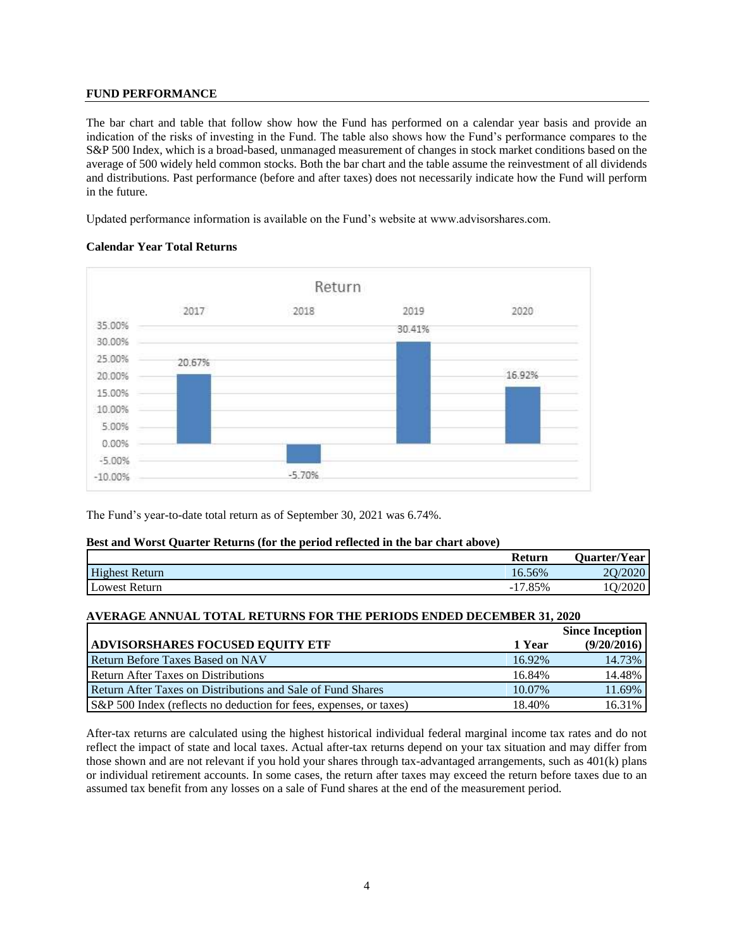# **FUND PERFORMANCE**

The bar chart and table that follow show how the Fund has performed on a calendar year basis and provide an indication of the risks of investing in the Fund. The table also shows how the Fund's performance compares to the S&P 500 Index, which is a broad-based, unmanaged measurement of changes in stock market conditions based on the average of 500 widely held common stocks. Both the bar chart and the table assume the reinvestment of all dividends and distributions. Past performance (before and after taxes) does not necessarily indicate how the Fund will perform in the future.

Updated performance information is available on the Fund's website at www.advisorshares.com.

### **Calendar Year Total Returns**



The Fund's year-to-date total return as of September 30, 2021 was 6.74%.

### **Best and Worst Quarter Returns (for the period reflected in the bar chart above)**

|                       | Return                        | Quarter/Year |
|-----------------------|-------------------------------|--------------|
| <b>Highest Return</b> | 16.56%                        | 20/2020      |
| Lowest Return         | $2.85\%$<br>$\sqrt{7}$<br>- 1 | /2020        |

# **AVERAGE ANNUAL TOTAL RETURNS FOR THE PERIODS ENDED DECEMBER 31, 2020**

|                                                                    |        | <b>Since Inception</b> |
|--------------------------------------------------------------------|--------|------------------------|
| <b>ADVISORSHARES FOCUSED EQUITY ETF</b>                            | 1 Year | (9/20/2016)            |
| <b>Return Before Taxes Based on NAV</b>                            | 16.92% | 14.73%                 |
| <b>Return After Taxes on Distributions</b>                         | 16.84% | 14.48%                 |
| Return After Taxes on Distributions and Sale of Fund Shares        | 10.07% | 11.69%                 |
| S&P 500 Index (reflects no deduction for fees, expenses, or taxes) | 18.40% | 16.31%                 |

After-tax returns are calculated using the highest historical individual federal marginal income tax rates and do not reflect the impact of state and local taxes. Actual after-tax returns depend on your tax situation and may differ from those shown and are not relevant if you hold your shares through tax-advantaged arrangements, such as 401(k) plans or individual retirement accounts. In some cases, the return after taxes may exceed the return before taxes due to an assumed tax benefit from any losses on a sale of Fund shares at the end of the measurement period.